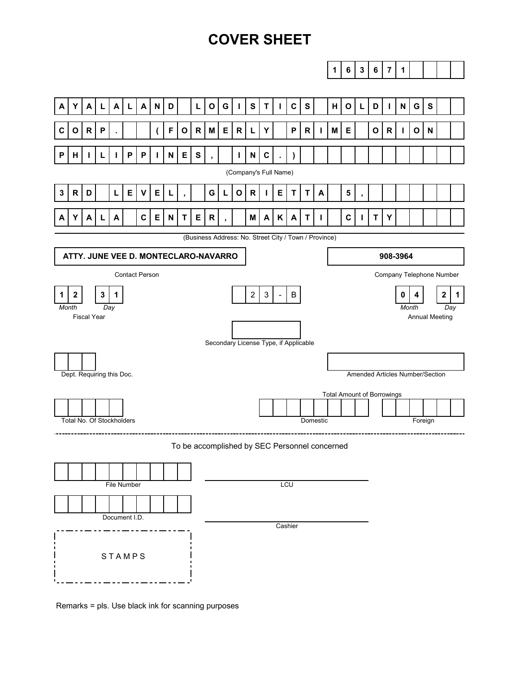# **COVER SHEET**



Remarks = pls. Use black ink for scanning purposes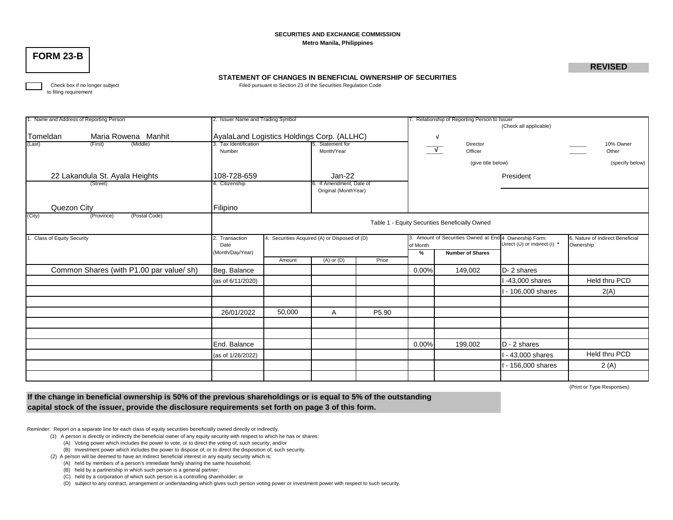#### **SECURITIES AND EXCHANGE COMMISSION Metro Manila, Philippines**

## **FORM 23-B**

### **REVISED**

#### **STATEMENT OF CHANGES IN BENEFICIAL OWNERSHIP OF SECURITIES**

Check box if no longer subject **Filed pursuant to Section 23 of the Securities Regulation Code** 

to filing requirement

| 1. Name and Address of Reporting Person |                                         | 2. Issuer Name and Trading Symbol                               |        |                         |                                                                                            | 7. Relationship of Reporting Person to Issuer |                       |                              |                 |  |  |  |
|-----------------------------------------|-----------------------------------------|-----------------------------------------------------------------|--------|-------------------------|--------------------------------------------------------------------------------------------|-----------------------------------------------|-----------------------|------------------------------|-----------------|--|--|--|
|                                         |                                         |                                                                 |        |                         |                                                                                            |                                               |                       | (Check all applicable)       |                 |  |  |  |
| Tomeldan                                | Maria Rowena Manhit                     | AyalaLand Logistics Holdings Corp. (ALLHC)                      |        |                         |                                                                                            |                                               | $\sqrt{ }$            |                              |                 |  |  |  |
| (Last)                                  | (Middle)<br>(First)                     | 3. Tax Identification<br>5. Statement for                       |        |                         |                                                                                            |                                               | Director              |                              | 10% Owner       |  |  |  |
|                                         |                                         | Number                                                          |        | Month/Year              |                                                                                            |                                               | $\sqrt{ }$<br>Officer |                              | Other           |  |  |  |
|                                         |                                         |                                                                 |        |                         |                                                                                            |                                               | (give title below)    |                              | (specify below) |  |  |  |
| 22 Lakandula St. Ayala Heights          |                                         | 108-728-659                                                     |        | Jan-22                  |                                                                                            |                                               |                       | President                    |                 |  |  |  |
| (Street)                                |                                         | . Citizenship                                                   |        | . If Amendment, Date of |                                                                                            |                                               |                       |                              |                 |  |  |  |
|                                         |                                         |                                                                 |        | Original (MonthYear)    |                                                                                            |                                               |                       |                              |                 |  |  |  |
|                                         |                                         |                                                                 |        |                         |                                                                                            |                                               |                       |                              |                 |  |  |  |
| Quezon City                             |                                         | Filipino                                                        |        |                         |                                                                                            |                                               |                       |                              |                 |  |  |  |
| (City)                                  | (Province)<br>(Postal Code)             |                                                                 |        |                         |                                                                                            |                                               |                       |                              |                 |  |  |  |
|                                         |                                         | Table 1 - Equity Securities Beneficially Owned                  |        |                         |                                                                                            |                                               |                       |                              |                 |  |  |  |
| <b>Class of Equity Security</b>         |                                         | 4. Securities Acquired (A) or Disposed of (D)<br>2. Transaction |        |                         | 3. Amount of Securities Owned at End 4 Ownership Form:<br>6. Nature of Indirect Beneficial |                                               |                       |                              |                 |  |  |  |
|                                         |                                         | Date                                                            |        |                         |                                                                                            | of Month                                      |                       | Direct (D) or Indirect (I) * | Ownership       |  |  |  |
|                                         |                                         | (Month/Day/Year)                                                |        |                         |                                                                                            | <b>Number of Shares</b>                       |                       |                              |                 |  |  |  |
|                                         |                                         |                                                                 | Amount | $(A)$ or $(D)$          | Price                                                                                      |                                               |                       |                              |                 |  |  |  |
|                                         | Common Shares (with P1.00 par value/sh) | Beg. Balance                                                    |        |                         |                                                                                            | $0.00\%$                                      | 149,002               | D-2 shares                   |                 |  |  |  |
|                                         |                                         | (as of 6/11/2020)                                               |        |                         |                                                                                            |                                               |                       | 1-43,000 shares              | Held thru PCD   |  |  |  |
|                                         |                                         |                                                                 |        |                         |                                                                                            |                                               |                       | I - 106,000 shares           | 2(A)            |  |  |  |
|                                         |                                         |                                                                 |        |                         |                                                                                            |                                               |                       |                              |                 |  |  |  |
|                                         |                                         | 26/01/2022                                                      | 50,000 | Α                       | P5.90                                                                                      |                                               |                       |                              |                 |  |  |  |
|                                         |                                         |                                                                 |        |                         |                                                                                            |                                               |                       |                              |                 |  |  |  |
|                                         |                                         |                                                                 |        |                         |                                                                                            |                                               |                       |                              |                 |  |  |  |
|                                         |                                         | End. Balance                                                    |        |                         |                                                                                            | 0.00%                                         | 199,002               | $D - 2$ shares               |                 |  |  |  |
|                                         |                                         | (as of 1/26/2022)                                               |        |                         |                                                                                            |                                               |                       | - 43,000 shares              | Held thru PCD   |  |  |  |
|                                         |                                         |                                                                 |        |                         |                                                                                            |                                               |                       | 1 - 156,000 shares           | 2 (A)           |  |  |  |
|                                         |                                         |                                                                 |        |                         |                                                                                            |                                               |                       |                              |                 |  |  |  |

(Print or Type Responses)

**If the change in beneficial ownership is 50% of the previous shareholdings or is equal to 5% of the outstanding capital stock of the issuer, provide the disclosure requirements set forth on page 3 of this form.**

Reminder: Report on a separate line for each class of equity securities beneficially owned directly or indirectly.

(1) A person is directly or indirectly the beneficial owner of any equity security with respect to which he has or shares:

(A) Voting power which includes the power to vote, or to direct the voting of, such security; and/or

(B) Investment power which includes the power to dispose of, or to direct the disposition of, such security.

(2) A person will be deemed to have an indirect beneficial interest in any equity security which is:

(A) held by members of a person's immediate family sharing the same household;

(B) held by a partnership in which such person is a general partner;

(C) held by a corporation of which such person is a controlling shareholder; or

(D) subject to any contract, arrangement or understanding which gives such person voting power or investment power with respect to such security.